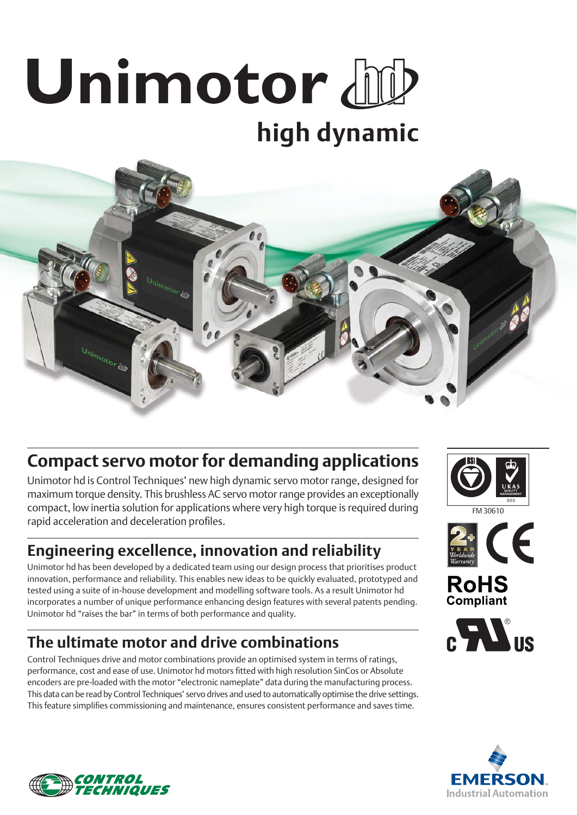# Unimotor bub **high dynamic**



# **Compact servo motor for demanding applications**

Unimotor hd is Control Techniques' new high dynamic servo motor range, designed for maximum torque density. This brushless AC servo motor range provides an exceptionally compact, low inertia solution for applications where very high torque is required during rapid acceleration and deceleration profiles.

## **Engineering excellence, innovation and reliability**

Unimotor hd has been developed by a dedicated team using our design process that prioritises product innovation, performance and reliability. This enables new ideas to be quickly evaluated, prototyped and tested using a suite of in-house development and modelling software tools. As a result Unimotor hd incorporates a number of unique performance enhancing design features with several patents pending. Unimotor hd "raises the bar" in terms of both performance and quality.

## **The ultimate motor and drive combinations**

Control Techniques drive and motor combinations provide an optimised system in terms of ratings, performance, cost and ease of use. Unimotor hd motors fi tted with high resolution SinCos or Absolute encoders are pre-loaded with the motor "electronic nameplate" data during the manufacturing process. This data can be read by Control Techniques' servo drives and used to automatically optimise the drive settings. This feature simplifies commissioning and maintenance, ensures consistent performance and saves time.



FM 30610